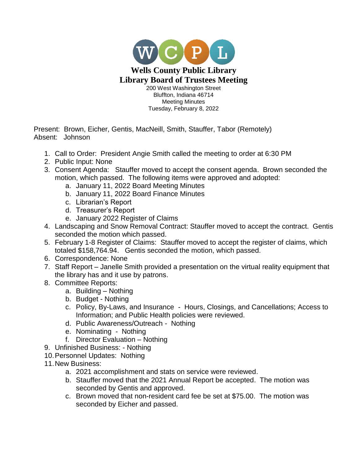

Present: Brown, Eicher, Gentis, MacNeill, Smith, Stauffer, Tabor (Remotely) Absent: Johnson

- 1. Call to Order: President Angie Smith called the meeting to order at 6:30 PM
- 2. Public Input: None
- 3. Consent Agenda: Stauffer moved to accept the consent agenda. Brown seconded the motion, which passed. The following items were approved and adopted:
	- a. January 11, 2022 Board Meeting Minutes
	- b. January 11, 2022 Board Finance Minutes
	- c. Librarian's Report
	- d. Treasurer's Report
	- e. January 2022 Register of Claims
- 4. Landscaping and Snow Removal Contract: Stauffer moved to accept the contract. Gentis seconded the motion which passed.
- 5. February 1-8 Register of Claims: Stauffer moved to accept the register of claims, which totaled \$158,764.94. Gentis seconded the motion, which passed.
- 6. Correspondence: None
- 7. Staff Report Janelle Smith provided a presentation on the virtual reality equipment that the library has and it use by patrons.
- 8. Committee Reports:
	- a. Building Nothing
	- b. Budget Nothing
	- c. Policy, By-Laws, and Insurance Hours, Closings, and Cancellations; Access to Information; and Public Health policies were reviewed.
	- d. Public Awareness/Outreach Nothing
	- e. Nominating Nothing
	- f. Director Evaluation Nothing
- 9. Unfinished Business: Nothing
- 10.Personnel Updates: Nothing
- 11.New Business:
	- a. 2021 accomplishment and stats on service were reviewed.
	- b. Stauffer moved that the 2021 Annual Report be accepted. The motion was seconded by Gentis and approved.
	- c. Brown moved that non-resident card fee be set at \$75.00. The motion was seconded by Eicher and passed.